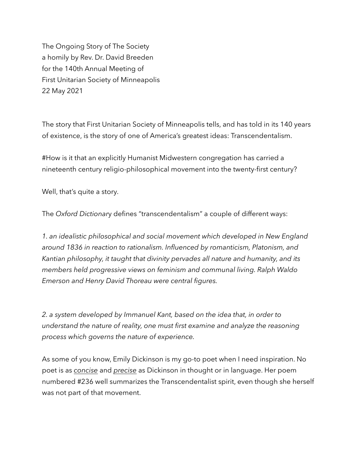The Ongoing Story of The Society a homily by Rev. Dr. David Breeden for the 140th Annual Meeting of First Unitarian Society of Minneapolis 22 May 2021

The story that First Unitarian Society of Minneapolis tells, and has told in its 140 years of existence, is the story of one of America's greatest ideas: Transcendentalism.

#How is it that an explicitly Humanist Midwestern congregation has carried a nineteenth century religio-philosophical movement into the twenty-first century?

Well, that's quite a story.

The *Oxford Dictionar*y defines "transcendentalism" a couple of different ways:

*1. an idealistic philosophical and social movement which developed in New England around 1836 in reaction to rationalism. Influenced by romanticism, Platonism, and Kantian philosophy, it taught that divinity pervades all nature and humanity, and its members held progressive views on feminism and communal living. Ralph Waldo Emerson and Henry David Thoreau were central figures.* 

*2. a system developed by Immanuel Kant, based on the idea that, in order to understand the nature of reality, one must first examine and analyze the reasoning process which governs the nature of experience.*

As some of you know, Emily Dickinson is my go-to poet when I need inspiration. No poet is as *concise* and *precise* as Dickinson in thought or in language. Her poem numbered #236 well summarizes the Transcendentalist spirit, even though she herself was not part of that movement.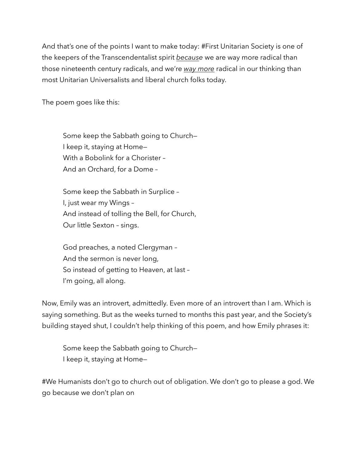And that's one of the points I want to make today: #First Unitarian Society is one of the keepers of the Transcendentalist spirit *because* we are way more radical than those nineteenth century radicals, and we're *way more* radical in our thinking than most Unitarian Universalists and liberal church folks today.

The poem goes like this:

Some keep the Sabbath going to Church— I keep it, staying at Home— With a Bobolink for a Chorister – And an Orchard, for a Dome –

Some keep the Sabbath in Surplice – I, just wear my Wings – And instead of tolling the Bell, for Church, Our little Sexton – sings.

God preaches, a noted Clergyman – And the sermon is never long, So instead of getting to Heaven, at last – I'm going, all along.

Now, Emily was an introvert, admittedly. Even more of an introvert than I am. Which is saying something. But as the weeks turned to months this past year, and the Society's building stayed shut, I couldn't help thinking of this poem, and how Emily phrases it:

Some keep the Sabbath going to Church— I keep it, staying at Home—

#We Humanists don't go to church out of obligation. We don't go to please a god. We go because we don't plan on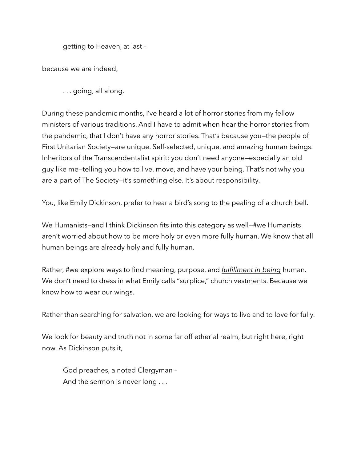getting to Heaven, at last –

because we are indeed,

. . . going, all along.

During these pandemic months, I've heard a lot of horror stories from my fellow ministers of various traditions. And I have to admit when hear the horror stories from the pandemic, that I don't have any horror stories. That's because you—the people of First Unitarian Society—are unique. Self-selected, unique, and amazing human beings. Inheritors of the Transcendentalist spirit: you don't need anyone—especially an old guy like me—telling you how to live, move, and have your being. That's not why you are a part of The Society—it's something else. It's about responsibility.

You, like Emily Dickinson, prefer to hear a bird's song to the pealing of a church bell.

We Humanists–and I think Dickinson fits into this category as well–#we Humanists aren't worried about how to be more holy or even more fully human. We know that all human beings are already holy and fully human.

Rather, #we explore ways to find meaning, purpose, and *fulfillment in being* human. We don't need to dress in what Emily calls "surplice," church vestments. Because we know how to wear our wings.

Rather than searching for salvation, we are looking for ways to live and to love for fully.

We look for beauty and truth not in some far off etherial realm, but right here, right now. As Dickinson puts it,

God preaches, a noted Clergyman – And the sermon is never long . . .